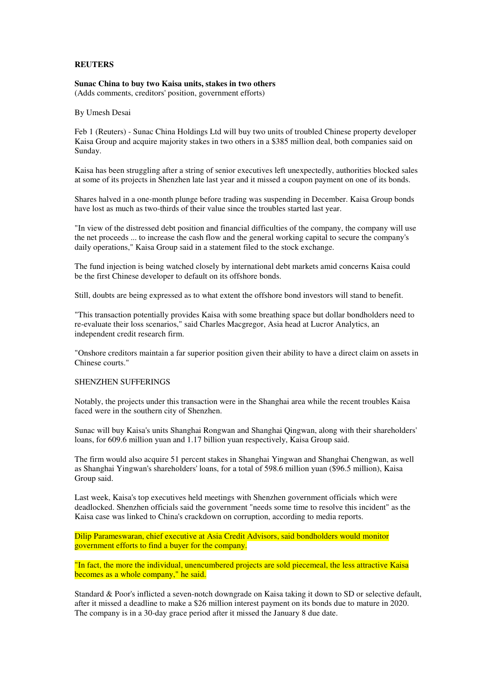## **REUTERS**

**Sunac China to buy two Kaisa units, stakes in two others**  (Adds comments, creditors' position, government efforts)

By Umesh Desai

Feb 1 (Reuters) - Sunac China Holdings Ltd will buy two units of troubled Chinese property developer Kaisa Group and acquire majority stakes in two others in a \$385 million deal, both companies said on Sunday.

Kaisa has been struggling after a string of senior executives left unexpectedly, authorities blocked sales at some of its projects in Shenzhen late last year and it missed a coupon payment on one of its bonds.

Shares halved in a one-month plunge before trading was suspending in December. Kaisa Group bonds have lost as much as two-thirds of their value since the troubles started last year.

"In view of the distressed debt position and financial difficulties of the company, the company will use the net proceeds ... to increase the cash flow and the general working capital to secure the company's daily operations," Kaisa Group said in a statement filed to the stock exchange.

The fund injection is being watched closely by international debt markets amid concerns Kaisa could be the first Chinese developer to default on its offshore bonds.

Still, doubts are being expressed as to what extent the offshore bond investors will stand to benefit.

"This transaction potentially provides Kaisa with some breathing space but dollar bondholders need to re-evaluate their loss scenarios," said Charles Macgregor, Asia head at Lucror Analytics, an independent credit research firm.

"Onshore creditors maintain a far superior position given their ability to have a direct claim on assets in Chinese courts."

## SHENZHEN SUFFERINGS

Notably, the projects under this transaction were in the Shanghai area while the recent troubles Kaisa faced were in the southern city of Shenzhen.

Sunac will buy Kaisa's units Shanghai Rongwan and Shanghai Qingwan, along with their shareholders' loans, for 609.6 million yuan and 1.17 billion yuan respectively, Kaisa Group said.

The firm would also acquire 51 percent stakes in Shanghai Yingwan and Shanghai Chengwan, as well as Shanghai Yingwan's shareholders' loans, for a total of 598.6 million yuan (\$96.5 million), Kaisa Group said.

Last week, Kaisa's top executives held meetings with Shenzhen government officials which were deadlocked. Shenzhen officials said the government "needs some time to resolve this incident" as the Kaisa case was linked to China's crackdown on corruption, according to media reports.

Dilip Parameswaran, chief executive at Asia Credit Advisors, said bondholders would monitor government efforts to find a buyer for the company.

"In fact, the more the individual, unencumbered projects are sold piecemeal, the less attractive Kaisa becomes as a whole company," he said.

Standard & Poor's inflicted a seven-notch downgrade on Kaisa taking it down to SD or selective default, after it missed a deadline to make a \$26 million interest payment on its bonds due to mature in 2020. The company is in a 30-day grace period after it missed the January 8 due date.